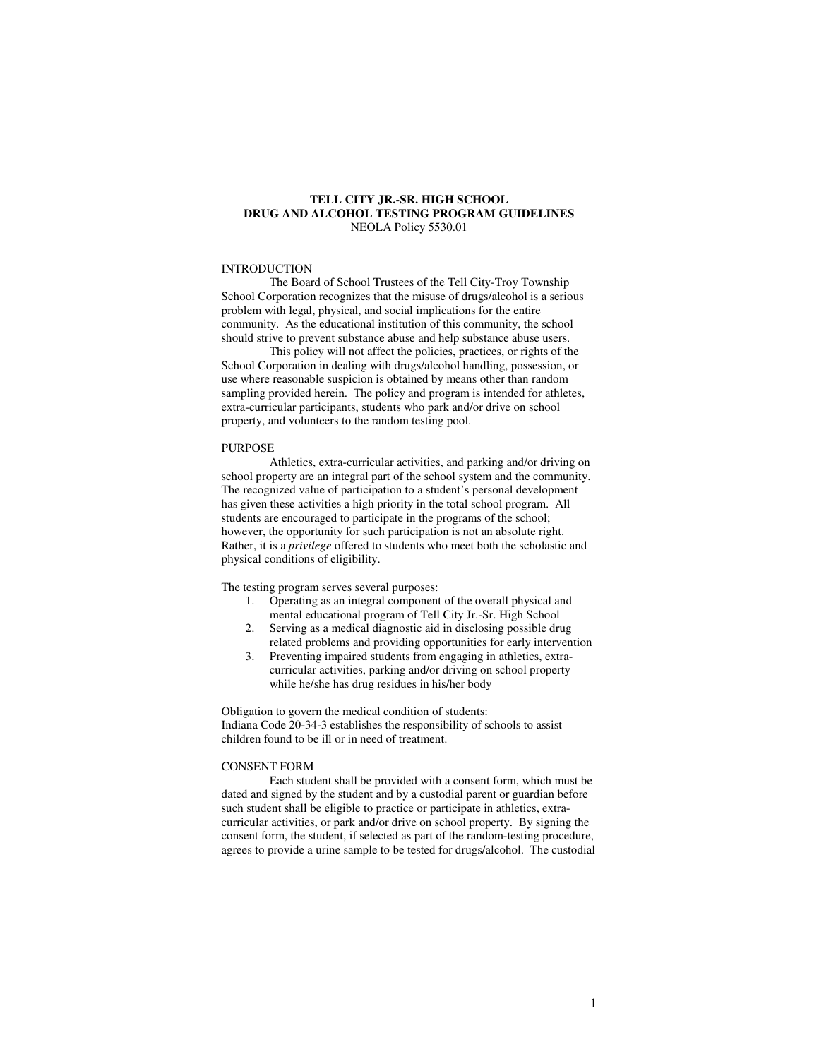## **TELL CITY JR.-SR. HIGH SCHOOL DRUG AND ALCOHOL TESTING PROGRAM GUIDELINES**  NEOLA Policy 5530.01

#### INTRODUCTION

 The Board of School Trustees of the Tell City-Troy Township School Corporation recognizes that the misuse of drugs/alcohol is a serious problem with legal, physical, and social implications for the entire community. As the educational institution of this community, the school should strive to prevent substance abuse and help substance abuse users.

 This policy will not affect the policies, practices, or rights of the School Corporation in dealing with drugs/alcohol handling, possession, or use where reasonable suspicion is obtained by means other than random sampling provided herein. The policy and program is intended for athletes, extra-curricular participants, students who park and/or drive on school property, and volunteers to the random testing pool.

#### PURPOSE

 Athletics, extra-curricular activities, and parking and/or driving on school property are an integral part of the school system and the community. The recognized value of participation to a student's personal development has given these activities a high priority in the total school program. All students are encouraged to participate in the programs of the school; however, the opportunity for such participation is not an absolute right. Rather, it is a *privilege* offered to students who meet both the scholastic and physical conditions of eligibility.

The testing program serves several purposes:

- 1. Operating as an integral component of the overall physical and mental educational program of Tell City Jr.-Sr. High School
- 2. Serving as a medical diagnostic aid in disclosing possible drug related problems and providing opportunities for early intervention
- 3. Preventing impaired students from engaging in athletics, extracurricular activities, parking and/or driving on school property while he/she has drug residues in his/her body

Obligation to govern the medical condition of students: Indiana Code 20-34-3 establishes the responsibility of schools to assist children found to be ill or in need of treatment.

## CONSENT FORM

 Each student shall be provided with a consent form, which must be dated and signed by the student and by a custodial parent or guardian before such student shall be eligible to practice or participate in athletics, extracurricular activities, or park and/or drive on school property. By signing the consent form, the student, if selected as part of the random-testing procedure, agrees to provide a urine sample to be tested for drugs/alcohol. The custodial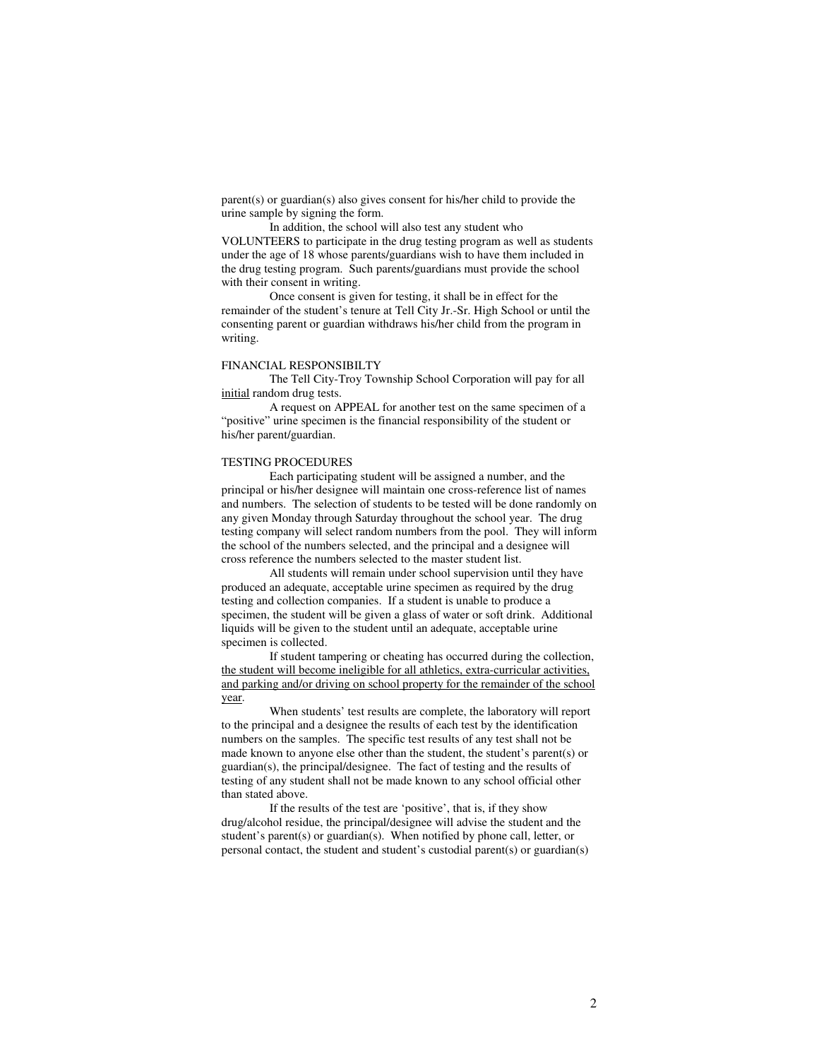parent(s) or guardian(s) also gives consent for his/her child to provide the urine sample by signing the form.

 In addition, the school will also test any student who VOLUNTEERS to participate in the drug testing program as well as students under the age of 18 whose parents/guardians wish to have them included in the drug testing program. Such parents/guardians must provide the school with their consent in writing.

 Once consent is given for testing, it shall be in effect for the remainder of the student's tenure at Tell City Jr.-Sr. High School or until the consenting parent or guardian withdraws his/her child from the program in writing.

### FINANCIAL RESPONSIBILTY

 The Tell City-Troy Township School Corporation will pay for all initial random drug tests.

 A request on APPEAL for another test on the same specimen of a "positive" urine specimen is the financial responsibility of the student or his/her parent/guardian.

### TESTING PROCEDURES

 Each participating student will be assigned a number, and the principal or his/her designee will maintain one cross-reference list of names and numbers. The selection of students to be tested will be done randomly on any given Monday through Saturday throughout the school year. The drug testing company will select random numbers from the pool. They will inform the school of the numbers selected, and the principal and a designee will cross reference the numbers selected to the master student list.

 All students will remain under school supervision until they have produced an adequate, acceptable urine specimen as required by the drug testing and collection companies. If a student is unable to produce a specimen, the student will be given a glass of water or soft drink. Additional liquids will be given to the student until an adequate, acceptable urine specimen is collected.

 If student tampering or cheating has occurred during the collection, the student will become ineligible for all athletics, extra-curricular activities, and parking and/or driving on school property for the remainder of the school year.

 When students' test results are complete, the laboratory will report to the principal and a designee the results of each test by the identification numbers on the samples. The specific test results of any test shall not be made known to anyone else other than the student, the student's parent(s) or guardian(s), the principal/designee. The fact of testing and the results of testing of any student shall not be made known to any school official other than stated above.

 If the results of the test are 'positive', that is, if they show drug/alcohol residue, the principal/designee will advise the student and the student's parent(s) or guardian(s). When notified by phone call, letter, or personal contact, the student and student's custodial parent(s) or guardian(s)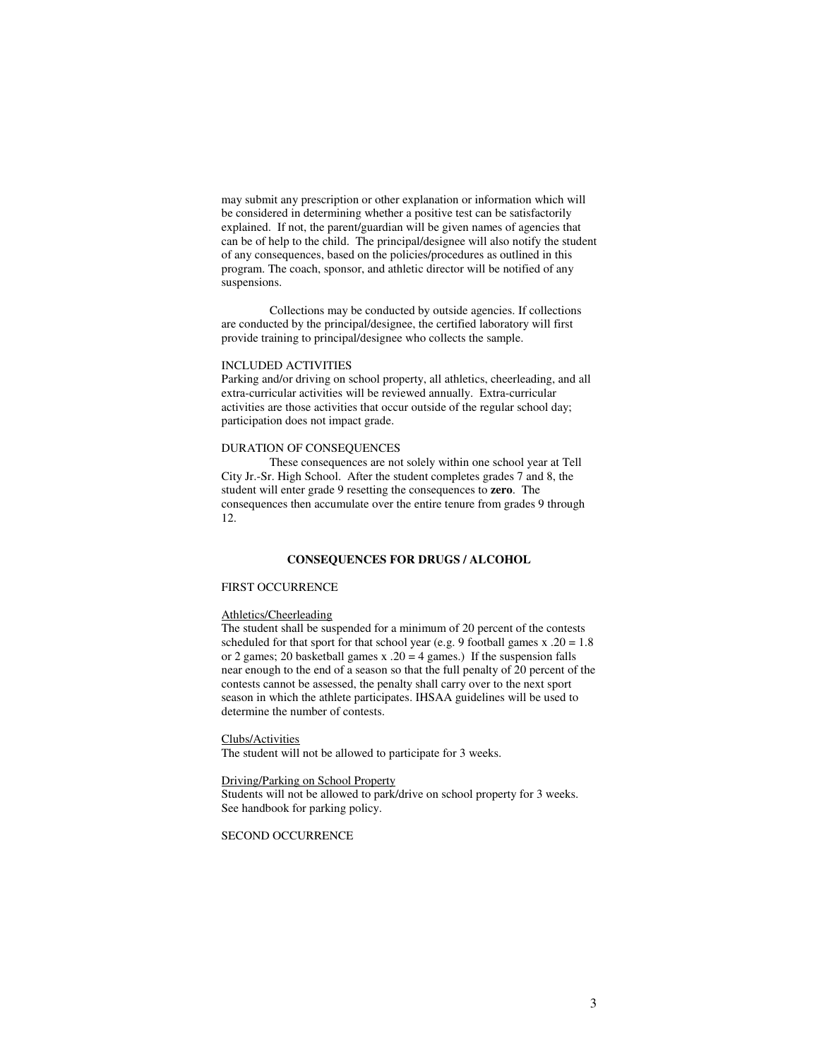may submit any prescription or other explanation or information which will be considered in determining whether a positive test can be satisfactorily explained. If not, the parent/guardian will be given names of agencies that can be of help to the child. The principal/designee will also notify the student of any consequences, based on the policies/procedures as outlined in this program. The coach, sponsor, and athletic director will be notified of any suspensions.

 Collections may be conducted by outside agencies. If collections are conducted by the principal/designee, the certified laboratory will first provide training to principal/designee who collects the sample.

#### INCLUDED ACTIVITIES

Parking and/or driving on school property, all athletics, cheerleading, and all extra-curricular activities will be reviewed annually. Extra-curricular activities are those activities that occur outside of the regular school day; participation does not impact grade.

# DURATION OF CONSEQUENCES

 These consequences are not solely within one school year at Tell City Jr.-Sr. High School. After the student completes grades 7 and 8, the student will enter grade 9 resetting the consequences to **zero**. The consequences then accumulate over the entire tenure from grades 9 through 12.

# **CONSEQUENCES FOR DRUGS / ALCOHOL**

## FIRST OCCURRENCE

#### Athletics/Cheerleading

The student shall be suspended for a minimum of 20 percent of the contests scheduled for that sport for that school year (e.g. 9 football games  $x \cdot 20 = 1.8$ ) or 2 games; 20 basketball games x  $.20 = 4$  games.) If the suspension falls near enough to the end of a season so that the full penalty of 20 percent of the contests cannot be assessed, the penalty shall carry over to the next sport season in which the athlete participates. IHSAA guidelines will be used to determine the number of contests.

#### Clubs/Activities

The student will not be allowed to participate for 3 weeks.

## Driving/Parking on School Property

Students will not be allowed to park/drive on school property for 3 weeks. See handbook for parking policy.

# SECOND OCCURRENCE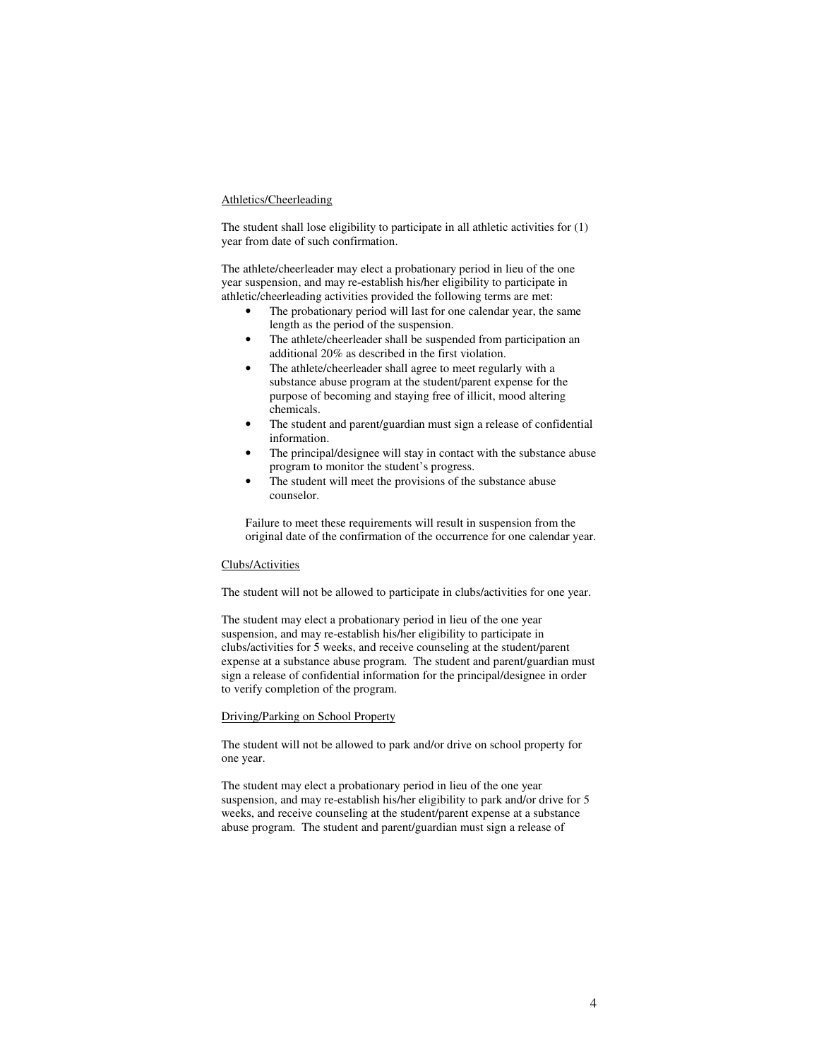## Athletics/Cheerleading

The student shall lose eligibility to participate in all athletic activities for (1) year from date of such confirmation.

The athlete/cheerleader may elect a probationary period in lieu of the one year suspension, and may re-establish his/her eligibility to participate in athletic/cheerleading activities provided the following terms are met:

- The probationary period will last for one calendar year, the same length as the period of the suspension.
- The athlete/cheerleader shall be suspended from participation an additional 20% as described in the first violation.
- The athlete/cheerleader shall agree to meet regularly with a substance abuse program at the student/parent expense for the purpose of becoming and staying free of illicit, mood altering chemicals.
- The student and parent/guardian must sign a release of confidential information.
- The principal/designee will stay in contact with the substance abuse program to monitor the student's progress.
- The student will meet the provisions of the substance abuse counselor.

Failure to meet these requirements will result in suspension from the original date of the confirmation of the occurrence for one calendar year.

## Clubs/Activities

The student will not be allowed to participate in clubs/activities for one year.

The student may elect a probationary period in lieu of the one year suspension, and may re-establish his/her eligibility to participate in clubs/activities for 5 weeks, and receive counseling at the student/parent expense at a substance abuse program. The student and parent/guardian must sign a release of confidential information for the principal/designee in order to verify completion of the program.

## Driving/Parking on School Property

The student will not be allowed to park and/or drive on school property for one year.

The student may elect a probationary period in lieu of the one year suspension, and may re-establish his/her eligibility to park and/or drive for 5 weeks, and receive counseling at the student/parent expense at a substance abuse program. The student and parent/guardian must sign a release of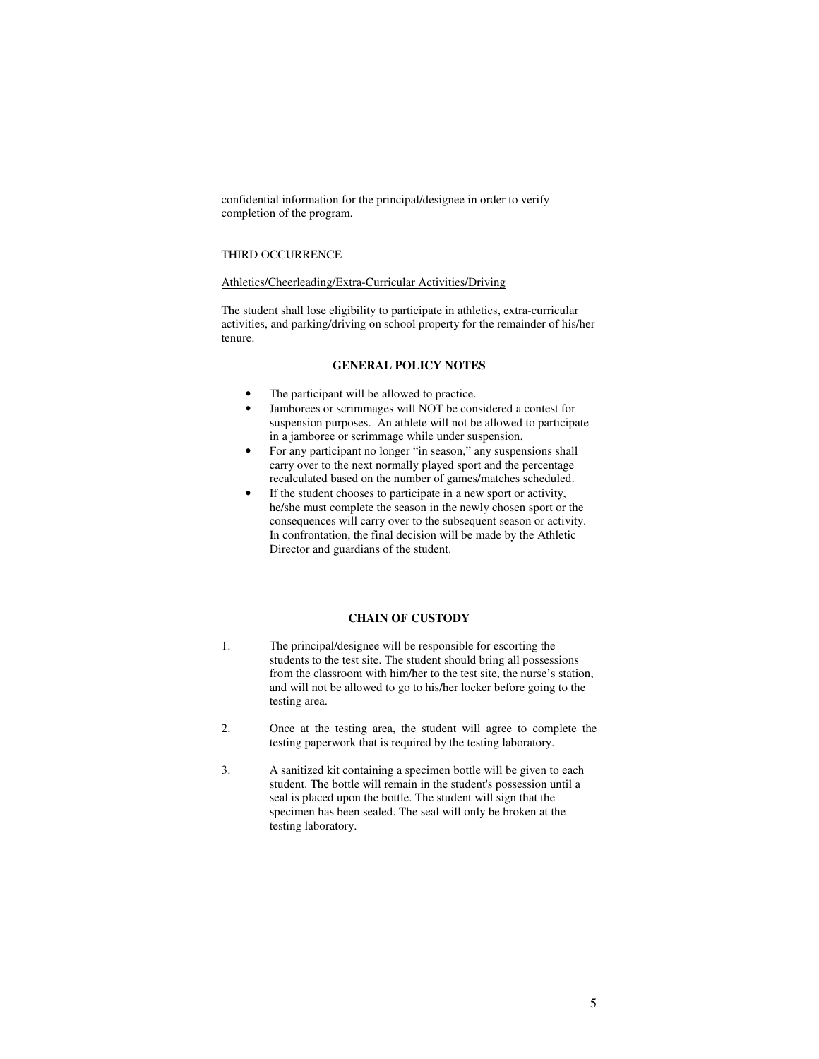confidential information for the principal/designee in order to verify completion of the program.

## THIRD OCCURRENCE

### Athletics/Cheerleading/Extra-Curricular Activities/Driving

The student shall lose eligibility to participate in athletics, extra-curricular activities, and parking/driving on school property for the remainder of his/her tenure.

# **GENERAL POLICY NOTES**

- The participant will be allowed to practice.
- Jamborees or scrimmages will NOT be considered a contest for suspension purposes. An athlete will not be allowed to participate in a jamboree or scrimmage while under suspension.
- For any participant no longer "in season," any suspensions shall carry over to the next normally played sport and the percentage recalculated based on the number of games/matches scheduled.
- If the student chooses to participate in a new sport or activity, he/she must complete the season in the newly chosen sport or the consequences will carry over to the subsequent season or activity. In confrontation, the final decision will be made by the Athletic Director and guardians of the student.

# **CHAIN OF CUSTODY**

- 1. The principal/designee will be responsible for escorting the students to the test site. The student should bring all possessions from the classroom with him/her to the test site, the nurse's station, and will not be allowed to go to his/her locker before going to the testing area.
- 2. Once at the testing area, the student will agree to complete the testing paperwork that is required by the testing laboratory.
- 3. A sanitized kit containing a specimen bottle will be given to each student. The bottle will remain in the student's possession until a seal is placed upon the bottle. The student will sign that the specimen has been sealed. The seal will only be broken at the testing laboratory.